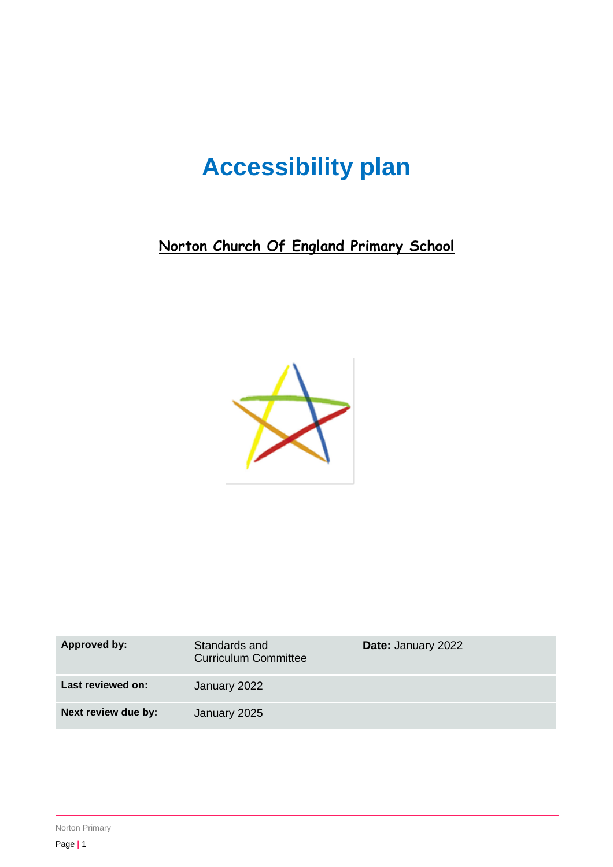# **Accessibility plan**

**Norton Church Of England Primary School**



| Approved by:        | Standards and<br><b>Curriculum Committee</b> | <b>Date: January 2022</b> |
|---------------------|----------------------------------------------|---------------------------|
| Last reviewed on:   | January 2022                                 |                           |
| Next review due by: | January 2025                                 |                           |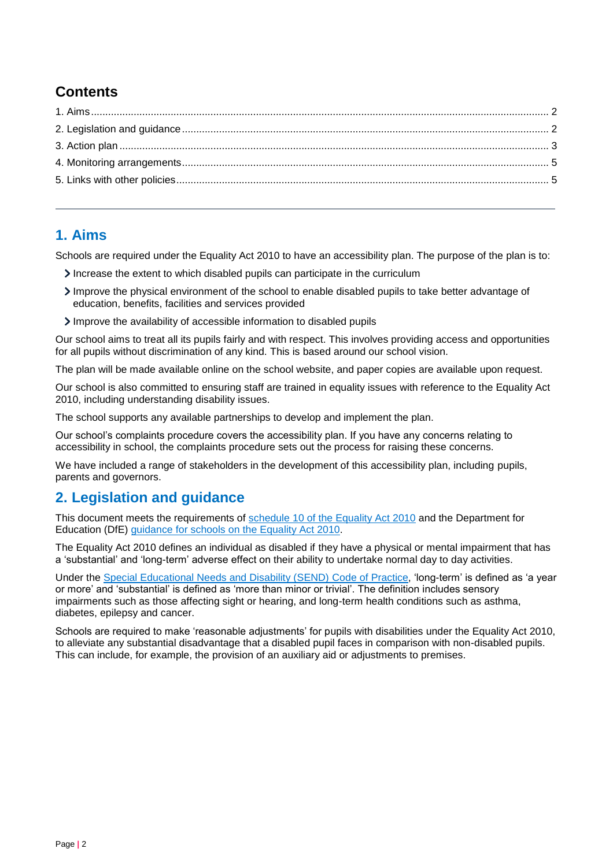## **Contents**

### <span id="page-1-0"></span>**1. Aims**

Schools are required under the Equality Act 2010 to have an accessibility plan. The purpose of the plan is to:

- Increase the extent to which disabled pupils can participate in the curriculum
- Improve the physical environment of the school to enable disabled pupils to take better advantage of education, benefits, facilities and services provided
- Improve the availability of accessible information to disabled pupils

Our school aims to treat all its pupils fairly and with respect. This involves providing access and opportunities for all pupils without discrimination of any kind. This is based around our school vision.

The plan will be made available online on the school website, and paper copies are available upon request.

Our school is also committed to ensuring staff are trained in equality issues with reference to the Equality Act 2010, including understanding disability issues.

The school supports any available partnerships to develop and implement the plan.

Our school's complaints procedure covers the accessibility plan. If you have any concerns relating to accessibility in school, the complaints procedure sets out the process for raising these concerns.

We have included a range of stakeholders in the development of this accessibility plan, including pupils, parents and governors.

#### <span id="page-1-1"></span>**2. Legislation and guidance**

This document meets the requirements of [schedule 10 of the Equality Act 2010](http://www.legislation.gov.uk/ukpga/2010/15/schedule/10) and the Department for Education (DfE) [guidance for schools on the Equality Act 2010.](https://www.gov.uk/government/publications/equality-act-2010-advice-for-schools)

The Equality Act 2010 defines an individual as disabled if they have a physical or mental impairment that has a 'substantial' and 'long-term' adverse effect on their ability to undertake normal day to day activities.

Under the [Special Educational Needs and Disability \(SEND\) Code of Practice,](https://www.gov.uk/government/publications/send-code-of-practice-0-to-25) 'long-term' is defined as 'a year or more' and 'substantial' is defined as 'more than minor or trivial'. The definition includes sensory impairments such as those affecting sight or hearing, and long-term health conditions such as asthma, diabetes, epilepsy and cancer.

Schools are required to make 'reasonable adjustments' for pupils with disabilities under the Equality Act 2010, to alleviate any substantial disadvantage that a disabled pupil faces in comparison with non-disabled pupils. This can include, for example, the provision of an auxiliary aid or adjustments to premises.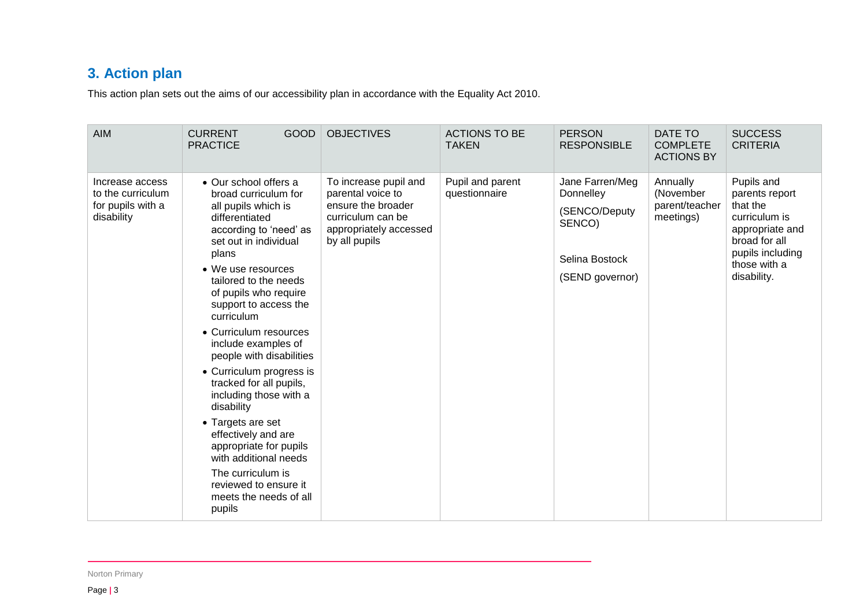# **3. Action plan**

This action plan sets out the aims of our accessibility plan in accordance with the Equality Act 2010.

<span id="page-2-0"></span>

| <b>AIM</b>                                                              | <b>CURRENT</b><br><b>GOOD</b><br><b>PRACTICE</b>                                                                                                                                                                                                                                                                                                                                                                                                                                                                                                                                                                               | <b>OBJECTIVES</b>                                                                                                                | <b>ACTIONS TO BE</b><br><b>TAKEN</b> | <b>PERSON</b><br><b>RESPONSIBLE</b>                                                          | DATE TO<br><b>COMPLETE</b><br><b>ACTIONS BY</b>      | <b>SUCCESS</b><br><b>CRITERIA</b>                                                                                                                |
|-------------------------------------------------------------------------|--------------------------------------------------------------------------------------------------------------------------------------------------------------------------------------------------------------------------------------------------------------------------------------------------------------------------------------------------------------------------------------------------------------------------------------------------------------------------------------------------------------------------------------------------------------------------------------------------------------------------------|----------------------------------------------------------------------------------------------------------------------------------|--------------------------------------|----------------------------------------------------------------------------------------------|------------------------------------------------------|--------------------------------------------------------------------------------------------------------------------------------------------------|
| Increase access<br>to the curriculum<br>for pupils with a<br>disability | • Our school offers a<br>broad curriculum for<br>all pupils which is<br>differentiated<br>according to 'need' as<br>set out in individual<br>plans<br>• We use resources<br>tailored to the needs<br>of pupils who require<br>support to access the<br>curriculum<br>• Curriculum resources<br>include examples of<br>people with disabilities<br>• Curriculum progress is<br>tracked for all pupils,<br>including those with a<br>disability<br>• Targets are set<br>effectively and are<br>appropriate for pupils<br>with additional needs<br>The curriculum is<br>reviewed to ensure it<br>meets the needs of all<br>pupils | To increase pupil and<br>parental voice to<br>ensure the broader<br>curriculum can be<br>appropriately accessed<br>by all pupils | Pupil and parent<br>questionnaire    | Jane Farren/Meg<br>Donnelley<br>(SENCO/Deputy<br>SENCO)<br>Selina Bostock<br>(SEND governor) | Annually<br>(November<br>parent/teacher<br>meetings) | Pupils and<br>parents report<br>that the<br>curriculum is<br>appropriate and<br>broad for all<br>pupils including<br>those with a<br>disability. |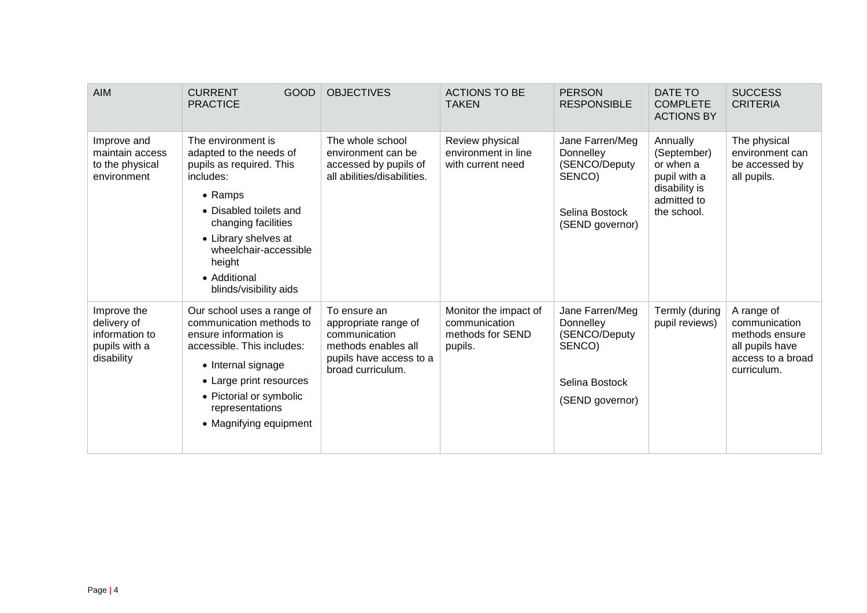| <b>AIM</b>                                                                  | <b>CURRENT</b><br><b>GOOD</b><br><b>PRACTICE</b>                                                                                                                                                                                                                | <b>OBJECTIVES</b>                                                                                                            | <b>ACTIONS TO BE</b><br><b>TAKEN</b>                                  | <b>PERSON</b><br><b>RESPONSIBLE</b>                                                          | DATE TO<br><b>COMPLETE</b><br><b>ACTIONS BY</b>                                                     | <b>SUCCESS</b><br><b>CRITERIA</b>                                                                    |
|-----------------------------------------------------------------------------|-----------------------------------------------------------------------------------------------------------------------------------------------------------------------------------------------------------------------------------------------------------------|------------------------------------------------------------------------------------------------------------------------------|-----------------------------------------------------------------------|----------------------------------------------------------------------------------------------|-----------------------------------------------------------------------------------------------------|------------------------------------------------------------------------------------------------------|
| Improve and<br>maintain access<br>to the physical<br>environment            | The environment is<br>adapted to the needs of<br>pupils as required. This<br>includes:<br>$\bullet$ Ramps<br>• Disabled toilets and<br>changing facilities<br>• Library shelves at<br>wheelchair-accessible<br>height<br>• Additional<br>blinds/visibility aids | The whole school<br>environment can be<br>accessed by pupils of<br>all abilities/disabilities.                               | Review physical<br>environment in line<br>with current need           | Jane Farren/Meg<br>Donnelley<br>(SENCO/Deputy<br>SENCO)<br>Selina Bostock<br>(SEND governor) | Annually<br>(September)<br>or when a<br>pupil with a<br>disability is<br>admitted to<br>the school. | The physical<br>environment can<br>be accessed by<br>all pupils.                                     |
| Improve the<br>delivery of<br>information to<br>pupils with a<br>disability | Our school uses a range of<br>communication methods to<br>ensure information is<br>accessible. This includes:<br>• Internal signage<br>• Large print resources<br>• Pictorial or symbolic<br>representations<br>• Magnifying equipment                          | To ensure an<br>appropriate range of<br>communication<br>methods enables all<br>pupils have access to a<br>broad curriculum. | Monitor the impact of<br>communication<br>methods for SEND<br>pupils. | Jane Farren/Meg<br>Donnelley<br>(SENCO/Deputy<br>SENCO)<br>Selina Bostock<br>(SEND governor) | Termly (during<br>pupil reviews)                                                                    | A range of<br>communication<br>methods ensure<br>all pupils have<br>access to a broad<br>curriculum. |